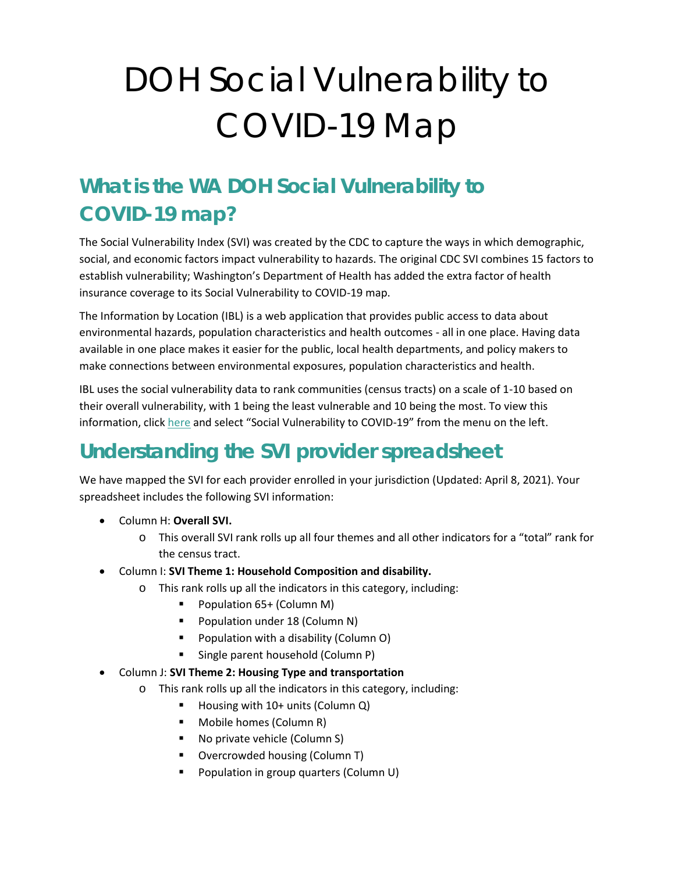# DOH Social Vulnerability to COVID-19 Map

# **What is the WA DOH Social Vulnerability to COVID-19 map?**

The Social Vulnerability Index (SVI) was created by the CDC to capture the ways in which demographic, social, and economic factors impact vulnerability to hazards. The original CDC SVI combines 15 factors to establish vulnerability; Washington's Department of Health has added the extra factor of health insurance coverage to its Social Vulnerability to COVID-19 map.

The Information by Location (IBL) is a web application that provides public access to data about environmental hazards, population characteristics and health outcomes - all in one place. Having data available in one place makes it easier for the public, local health departments, and policy makers to make connections between environmental exposures, population characteristics and health.

IBL uses the social vulnerability data to rank communities (census tracts) on a scale of 1-10 based on their overall vulnerability, with 1 being the least vulnerable and 10 being the most. To view this information, click [here](file:///C:/Users/KXM2303/AppData/Local/Microsoft/Windows/INetCache/Content.Outlook/RODDNYJY/doh.wa.gov/ibl) and select "Social Vulnerability to COVID-19" from the menu on the left.

# **Understanding the SVI provider spreadsheet**

We have mapped the SVI for each provider enrolled in your jurisdiction (Updated: April 8, 2021). Your spreadsheet includes the following SVI information:

- Column H: **Overall SVI.** 
	- o This overall SVI rank rolls up all four themes and all other indicators for a "total" rank for the census tract.
- Column I: **SVI Theme 1: Household Composition and disability.** 
	- o This rank rolls up all the indicators in this category, including:
		- Population 65+ (Column M)
		- **Population under 18 (Column N)**
		- Population with a disability (Column O)
		- Single parent household (Column P)
- Column J: **SVI Theme 2: Housing Type and transportation**
	- o This rank rolls up all the indicators in this category, including:
		- Housing with 10+ units (Column Q)
		- **Mobile homes (Column R)**
		- No private vehicle (Column S)
		- Overcrowded housing (Column T)
		- **Population in group quarters (Column U)**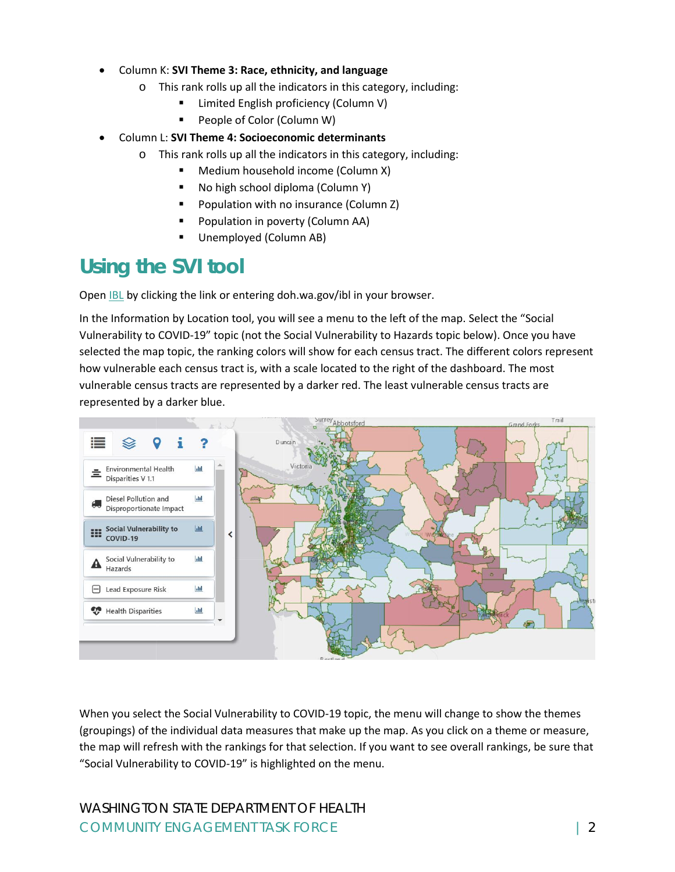- Column K: **SVI Theme 3: Race, ethnicity, and language**
	- o This rank rolls up all the indicators in this category, including:
		- Limited English proficiency (Column V)
		- People of Color (Column W)
- Column L: **SVI Theme 4: Socioeconomic determinants**
	- o This rank rolls up all the indicators in this category, including:
		- **Medium household income (Column X)**
		- No high school diploma (Column Y)
		- Population with no insurance (Column Z)
		- Population in poverty (Column AA)
		- Unemployed (Column AB)

### **Using the SVI tool**

Open [IBL](file:///C:/Users/KXM2303/AppData/Local/Microsoft/Windows/INetCache/Content.Outlook/RODDNYJY/doh.wa.gov/ibl) by clicking the link or entering doh.wa.gov/ibl in your browser.

In the Information by Location tool, you will see a menu to the left of the map. Select the "Social Vulnerability to COVID-19" topic (not the Social Vulnerability to Hazards topic below). Once you have selected the map topic, the ranking colors will show for each census tract. The different colors represent how vulnerable each census tract is, with a scale located to the right of the dashboard. The most vulnerable census tracts are represented by a darker red. The least vulnerable census tracts are represented by a darker blue.



When you select the Social Vulnerability to COVID-19 topic, the menu will change to show the themes (groupings) of the individual data measures that make up the map. As you click on a theme or measure, the map will refresh with the rankings for that selection. If you want to see overall rankings, be sure that "Social Vulnerability to COVID-19" is highlighted on the menu.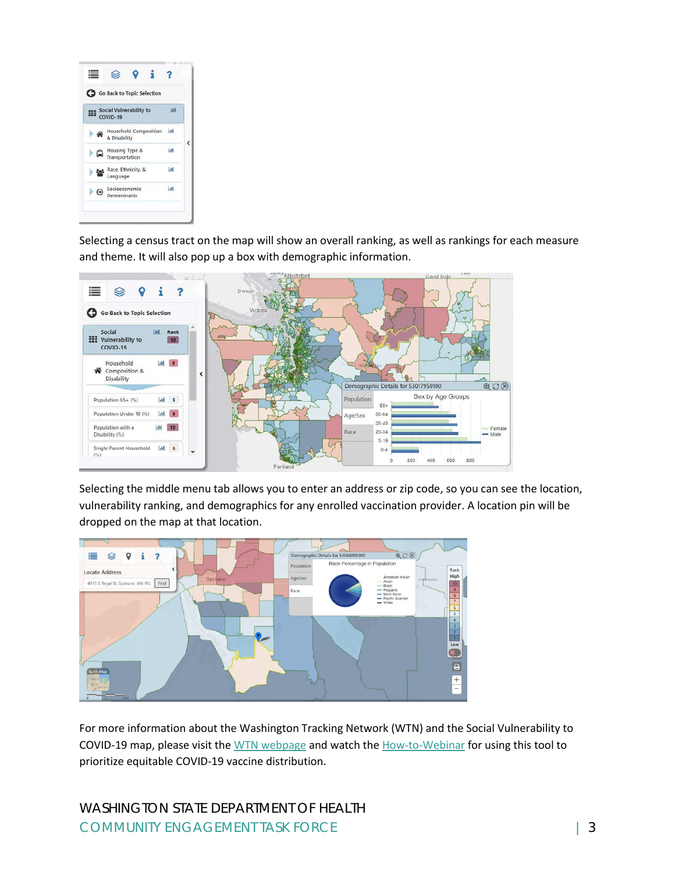

Selecting a census tract on the map will show an overall ranking, as well as rankings for each measure and theme. It will also pop up a box with demographic information.



Selecting the middle menu tab allows you to enter an address or zip code, so you can see the location, vulnerability ranking, and demographics for any enrolled vaccination provider. A location pin will be dropped on the map at that location.



For more information about the Washington Tracking Network (WTN) and the Social Vulnerability to COVID-19 map, please visit the [WTN webpage](https://www.doh.wa.gov/DataandStatisticalReports/WashingtonTrackingNetworkWTN) and watch th[e How-to-Webinar](https://www.youtube.com/watch?v=rqXDeEnWfps) for using this tool to prioritize equitable COVID-19 vaccine distribution.